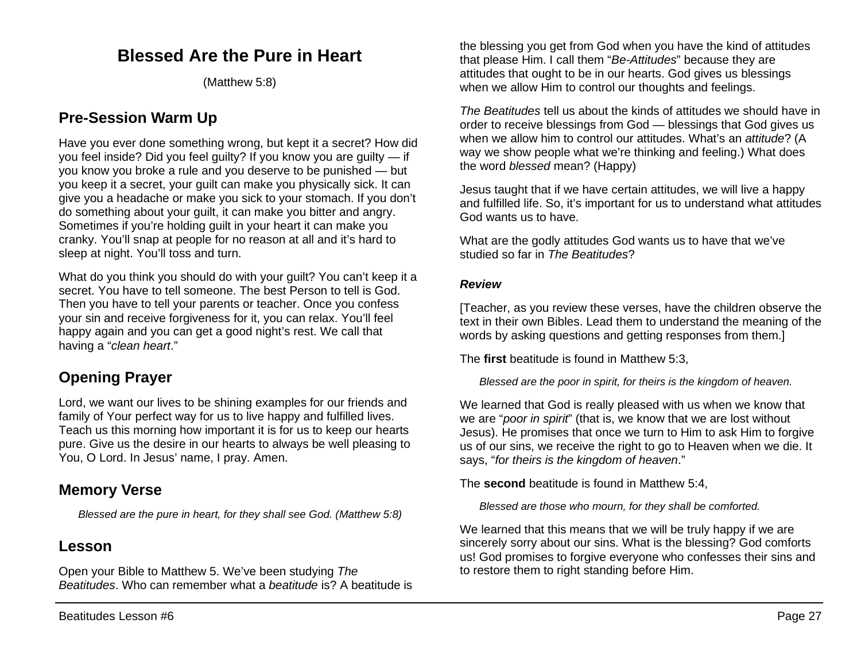## **Blessed Are the Pure in Heart**

(Matthew 5:8)

## **Pre-Session Warm Up**

Have you ever done something wrong, but kept it a secret? How did you feel inside? Did you feel guilty? If you know you are guilty — if you know you broke a rule and you deserve to be punished — but you keep it a secret, your guilt can make you physically sick. It can give you a headache or make you sick to your stomach. If you don't do something about your guilt, it can make you bitter and angry. Sometimes if you're holding guilt in your heart it can make you cranky. You'll snap at people for no reason at all and it's hard to sleep at night. You'll toss and turn.

What do you think you should do with your guilt? You can't keep it a secret. You have to tell someone. The best Person to tell is God. Then you have to tell your parents or teacher. Once you confess your sin and receive forgiveness for it, you can relax. You'll feel happy again and you can get a good night's rest. We call that having a "*clean heart*."

## **Opening Prayer**

Lord, we want our lives to be shining examples for our friends and family of Your perfect way for us to live happy and fulfilled lives. Teach us this morning how important it is for us to keep our hearts pure. Give us the desire in our hearts to always be well pleasing to You, O Lord. In Jesus' name, I pray. Amen.

## **Memory Verse**

*Blessed are the pure in heart, for they shall see God. (Matthew 5:8)*

## **Lesson**

Open your Bible to Matthew 5. We've been studying *The Beatitudes*. Who can remember what a *beatitude* is? A beatitude is

the blessing you get from God when you have the kind of attitudes that please Him. I call them "*Be-Attitudes*" because they are attitudes that ought to be in our hearts. God gives us blessings when we allow Him to control our thoughts and feelings.

*The Beatitudes* tell us about the kinds of attitudes we should have in order to receive blessings from God — blessings that God gives us when we allow him to control our attitudes. What's an *attitude*? (A way we show people what we're thinking and feeling.) What does the word *blessed* mean? (Happy)

Jesus taught that if we have certain attitudes, we will live a happy and fulfilled life. So, it's important for us to understand what attitudes God wants us to have.

What are the godly attitudes God wants us to have that we've studied so far in *The Beatitudes*?

#### *Review*

[Teacher, as you review these verses, have the children observe the text in their own Bibles. Lead them to understand the meaning of the words by asking questions and getting responses from them.]

The **first** beatitude is found in Matthew 5:3,

*Blessed are the poor in spirit, for theirs is the kingdom of heaven.*

We learned that God is really pleased with us when we know that we are "*poor in spirit*" (that is, we know that we are lost without Jesus). He promises that once we turn to Him to ask Him to forgive us of our sins, we receive the right to go to Heaven when we die. It says, "*for theirs is the kingdom of heaven*."

The **second** beatitude is found in Matthew 5:4,

*Blessed are those who mourn, for they shall be comforted.*

We learned that this means that we will be truly happy if we are sincerely sorry about our sins. What is the blessing? God comforts us! God promises to forgive everyone who confesses their sins and to restore them to right standing before Him.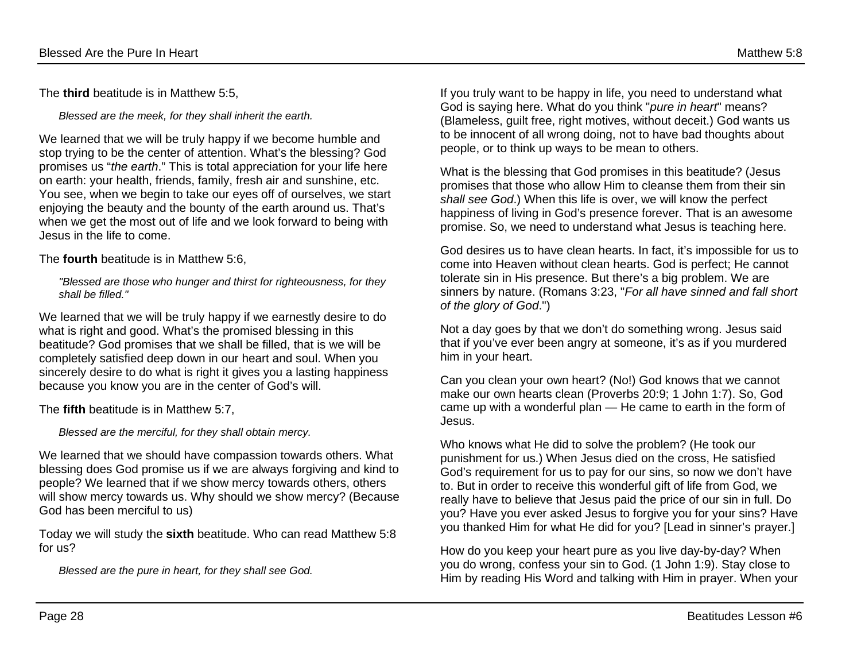The **third** beatitude is in Matthew 5:5,

*Blessed are the meek, for they shall inherit the earth.*

We learned that we will be truly happy if we become humble and stop trying to be the center of attention. What's the blessing? God promises us "*the earth*." This is total appreciation for your life here on earth: your health, friends, family, fresh air and sunshine, etc. You see, when we begin to take our eyes off of ourselves, we start enjoying the beauty and the bounty of the earth around us. That's when we get the most out of life and we look forward to being with Jesus in the life to come.

The **fourth** beatitude is in Matthew 5:6,

*"Blessed are those who hunger and thirst for righteousness, for they shall be filled."*

We learned that we will be truly happy if we earnestly desire to do what is right and good. What's the promised blessing in this beatitude? God promises that we shall be filled, that is we will be completely satisfied deep down in our heart and soul. When you sincerely desire to do what is right it gives you a lasting happiness because you know you are in the center of God's will.

The **fifth** beatitude is in Matthew 5:7,

*Blessed are the merciful, for they shall obtain mercy.*

We learned that we should have compassion towards others. What blessing does God promise us if we are always forgiving and kind to people? We learned that if we show mercy towards others, others will show mercy towards us. Why should we show mercy? (Because God has been merciful to us)

Today we will study the **sixth** beatitude. Who can read Matthew 5:8 for us?

*Blessed are the pure in heart, for they shall see God.* 

If you truly want to be happy in life, you need to understand what God is saying here. What do you think "*pure in heart*" means? (Blameless, guilt free, right motives, without deceit.) God wants us to be innocent of all wrong doing, not to have bad thoughts about people, or to think up ways to be mean to others.

What is the blessing that God promises in this beatitude? (Jesus promises that those who allow Him to cleanse them from their sin *shall see God*.) When this life is over, we will know the perfect happiness of living in God's presence forever. That is an awesome promise. So, we need to understand what Jesus is teaching here.

God desires us to have clean hearts. In fact, it's impossible for us to come into Heaven without clean hearts. God is perfect; He cannot tolerate sin in His presence. But there's a big problem. We are sinners by nature. (Romans 3:23, "*For all have sinned and fall short of the glory of God*.")

Not a day goes by that we don't do something wrong. Jesus said that if you've ever been angry at someone, it's as if you murdered him in your heart.

Can you clean your own heart? (No!) God knows that we cannot make our own hearts clean (Proverbs 20:9; 1 John 1:7). So, God came up with a wonderful plan — He came to earth in the form of Jesus.

Who knows what He did to solve the problem? (He took our punishment for us.) When Jesus died on the cross, He satisfied God's requirement for us to pay for our sins, so now we don't have to. But in order to receive this wonderful gift of life from God, we really have to believe that Jesus paid the price of our sin in full. Do you? Have you ever asked Jesus to forgive you for your sins? Have you thanked Him for what He did for you? [Lead in sinner's prayer.]

How do you keep your heart pure as you live day-by-day? When you do wrong, confess your sin to God. (1 John 1:9). Stay close to Him by reading His Word and talking with Him in prayer. When your